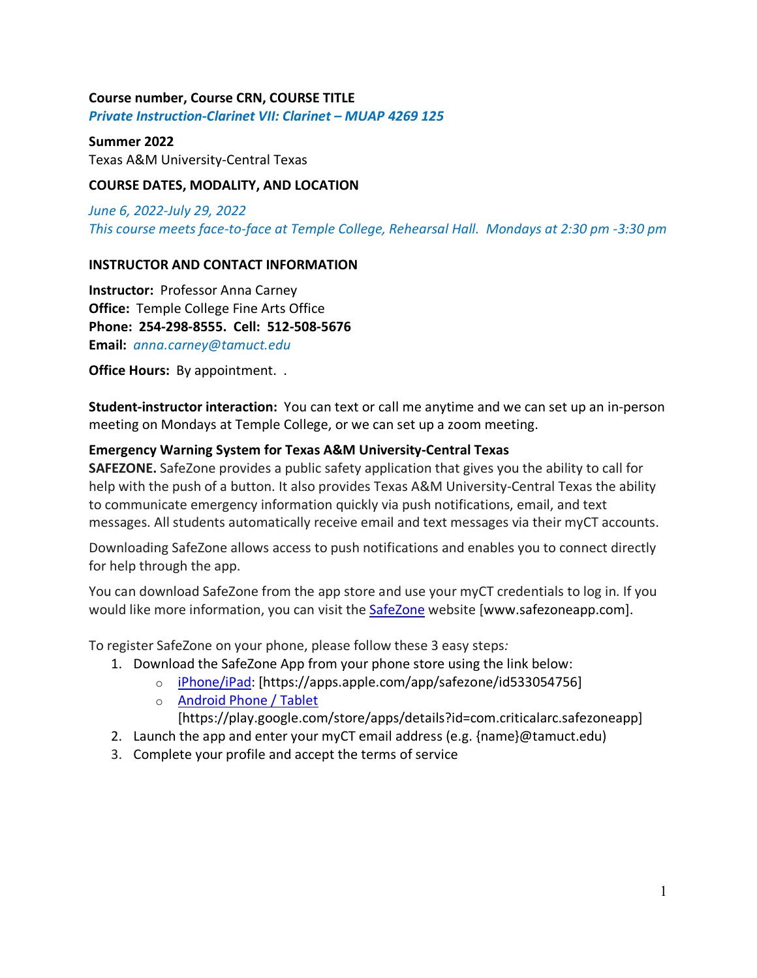## **Course number, Course CRN, COURSE TITLE**

*Private Instruction-Clarinet VII: Clarinet – MUAP 4269 125*

## **Summer 2022**

Texas A&M University-Central Texas

## **COURSE DATES, MODALITY, AND LOCATION**

*June 6, 2022-July 29, 2022 This course meets face-to-face at Temple College, Rehearsal Hall. Mondays at 2:30 pm -3:30 pm*

## **INSTRUCTOR AND CONTACT INFORMATION**

**Instructor:** Professor Anna Carney **Office:** Temple College Fine Arts Office **Phone: 254-298-8555. Cell: 512-508-5676 Email:** *anna.carney@tamuct.edu*

**Office Hours:** By appointment. .

**Student-instructor interaction:** You can text or call me anytime and we can set up an in-person meeting on Mondays at Temple College, or we can set up a zoom meeting.

## **Emergency Warning System for Texas A&M University-Central Texas**

**SAFEZONE.** SafeZone provides a public safety application that gives you the ability to call for help with the push of a button. It also provides Texas A&M University-Central Texas the ability to communicate emergency information quickly via push notifications, email, and text messages. All students automatically receive email and text messages via their myCT accounts.

Downloading SafeZone allows access to push notifications and enables you to connect directly for help through the app.

You can download SafeZone from the app store and use your myCT credentials to log in. If you would like more information, you can visit the **SafeZone** website [www.safezoneapp.com].

To register SafeZone on your phone, please follow these 3 easy steps*:*

- 1. Download the SafeZone App from your phone store using the link below:
	- o iPhone/iPad: [https://apps.apple.com/app/safezone/id533054756]
	- o Android Phone / Tablet
		- [https://play.google.com/store/apps/details?id=com.criticalarc.safezoneapp]
- 2. Launch the app and enter your myCT email address (e.g. {name}@tamuct.edu)
- 3. Complete your profile and accept the terms of service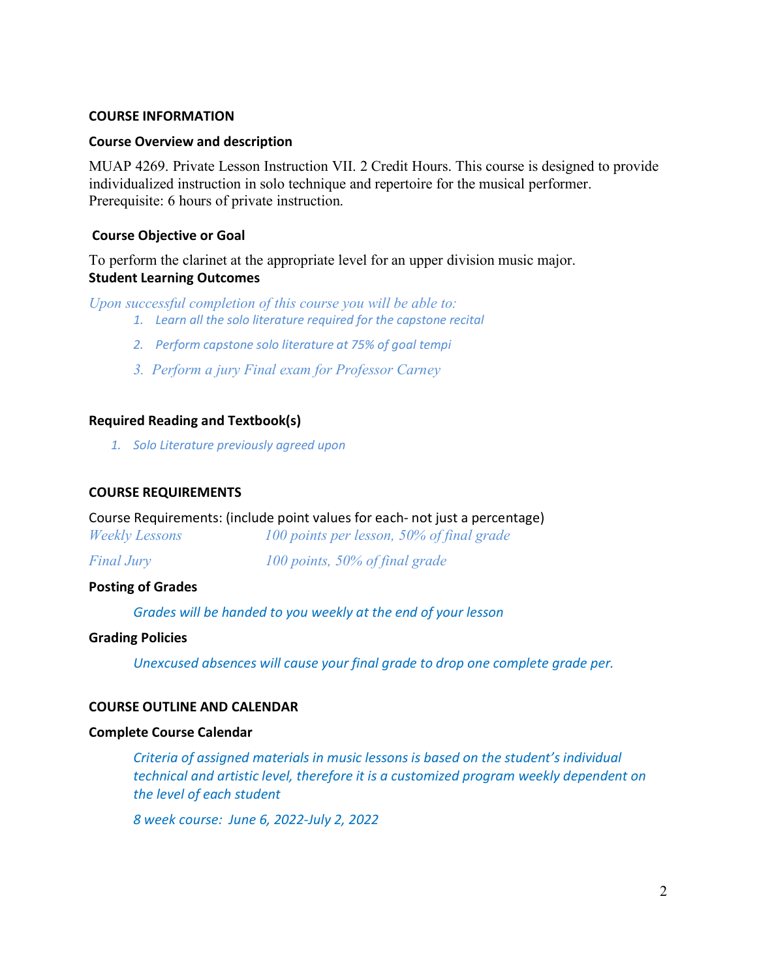### **COURSE INFORMATION**

## **Course Overview and description**

MUAP 4269. Private Lesson Instruction VII. 2 Credit Hours. This course is designed to provide individualized instruction in solo technique and repertoire for the musical performer. Prerequisite: 6 hours of private instruction.

## **Course Objective or Goal**

To perform the clarinet at the appropriate level for an upper division music major. **Student Learning Outcomes**

*Upon successful completion of this course you will be able to:*

- *1. Learn all the solo literature required for the capstone recital*
- *2. Perform capstone solo literature at 75% of goal tempi*
- *3. Perform a jury Final exam for Professor Carney*

## **Required Reading and Textbook(s)**

*1. Solo Literature previously agreed upon*

### **COURSE REQUIREMENTS**

Course Requirements: (include point values for each- not just a percentage)

| <b>Weekly Lessons</b> | 100 points per lesson, 50% of final grade |
|-----------------------|-------------------------------------------|
| <b>Final Jury</b>     | 100 points, $50\%$ of final grade         |

**Posting of Grades** 

*Grades will be handed to you weekly at the end of your lesson*

#### **Grading Policies**

*Unexcused absences will cause your final grade to drop one complete grade per.* 

## **COURSE OUTLINE AND CALENDAR**

#### **Complete Course Calendar**

*Criteria of assigned materials in music lessons is based on the student's individual technical and artistic level, therefore it is a customized program weekly dependent on the level of each student*

*8 week course: June 6, 2022-July 2, 2022*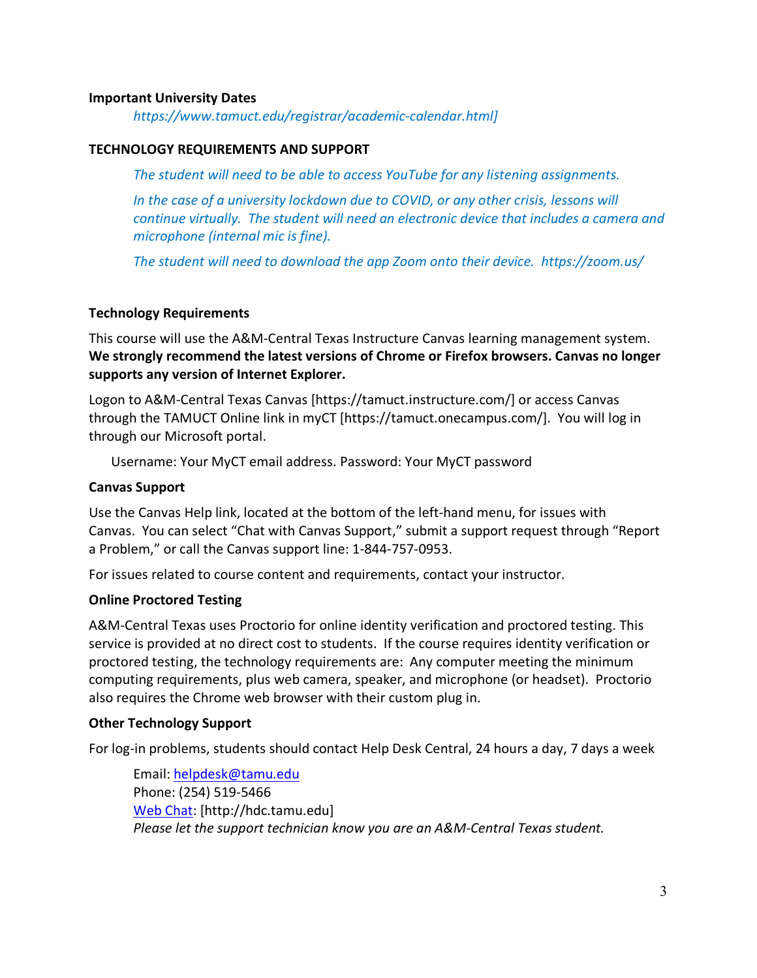## **Important University Dates**

*https://www.tamuct.edu/registrar/academic-calendar.html]*

## **TECHNOLOGY REQUIREMENTS AND SUPPORT**

*The student will need to be able to access YouTube for any listening assignments.*

*In the case of a university lockdown due to COVID, or any other crisis, lessons will continue virtually. The student will need an electronic device that includes a camera and microphone (internal mic is fine).* 

*The student will need to download the app Zoom onto their device. https://zoom.us/*

## **Technology Requirements**

This course will use the A&M-Central Texas Instructure Canvas learning management system. **We strongly recommend the latest versions of Chrome or Firefox browsers. Canvas no longer supports any version of Internet Explorer.**

Logon to A&M-Central Texas Canvas [https://tamuct.instructure.com/] or access Canvas through the TAMUCT Online link in myCT [https://tamuct.onecampus.com/]. You will log in through our Microsoft portal.

Username: Your MyCT email address. Password: Your MyCT password

### **Canvas Support**

Use the Canvas Help link, located at the bottom of the left-hand menu, for issues with Canvas. You can select "Chat with Canvas Support," submit a support request through "Report a Problem," or call the Canvas support line: 1-844-757-0953.

For issues related to course content and requirements, contact your instructor.

## **Online Proctored Testing**

A&M-Central Texas uses Proctorio for online identity verification and proctored testing. This service is provided at no direct cost to students. If the course requires identity verification or proctored testing, the technology requirements are: Any computer meeting the minimum computing requirements, plus web camera, speaker, and microphone (or headset). Proctorio also requires the Chrome web browser with their custom plug in.

#### **Other Technology Support**

For log-in problems, students should contact Help Desk Central, 24 hours a day, 7 days a week

Email: helpdesk@tamu.edu Phone: (254) 519-5466 Web Chat: [http://hdc.tamu.edu] *Please let the support technician know you are an A&M-Central Texas student.*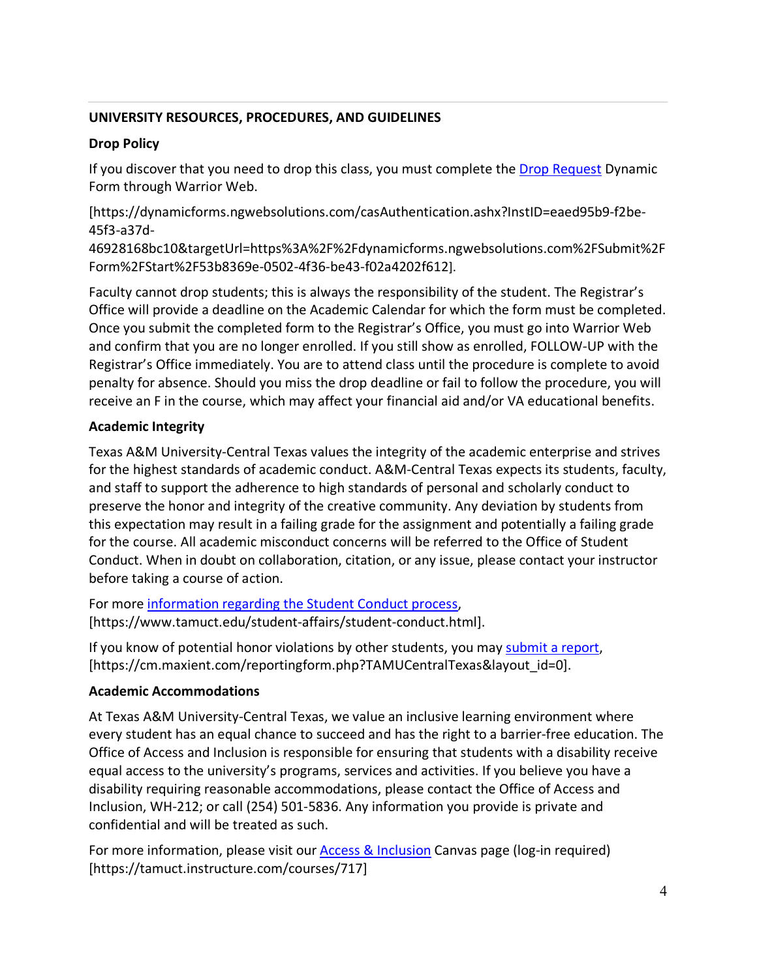# **UNIVERSITY RESOURCES, PROCEDURES, AND GUIDELINES**

# **Drop Policy**

If you discover that you need to drop this class, you must complete the Drop Request Dynamic Form through Warrior Web.

[https://dynamicforms.ngwebsolutions.com/casAuthentication.ashx?InstID=eaed95b9-f2be-45f3-a37d-

46928168bc10&targetUrl=https%3A%2F%2Fdynamicforms.ngwebsolutions.com%2FSubmit%2F Form%2FStart%2F53b8369e-0502-4f36-be43-f02a4202f612].

Faculty cannot drop students; this is always the responsibility of the student. The Registrar's Office will provide a deadline on the Academic Calendar for which the form must be completed. Once you submit the completed form to the Registrar's Office, you must go into Warrior Web and confirm that you are no longer enrolled. If you still show as enrolled, FOLLOW-UP with the Registrar's Office immediately. You are to attend class until the procedure is complete to avoid penalty for absence. Should you miss the drop deadline or fail to follow the procedure, you will receive an F in the course, which may affect your financial aid and/or VA educational benefits.

# **Academic Integrity**

Texas A&M University-Central Texas values the integrity of the academic enterprise and strives for the highest standards of academic conduct. A&M-Central Texas expects its students, faculty, and staff to support the adherence to high standards of personal and scholarly conduct to preserve the honor and integrity of the creative community. Any deviation by students from this expectation may result in a failing grade for the assignment and potentially a failing grade for the course. All academic misconduct concerns will be referred to the Office of Student Conduct. When in doubt on collaboration, citation, or any issue, please contact your instructor before taking a course of action.

For more information regarding the Student Conduct process, [https://www.tamuct.edu/student-affairs/student-conduct.html].

If you know of potential honor violations by other students, you may submit a report, [https://cm.maxient.com/reportingform.php?TAMUCentralTexas&layout\_id=0].

# **Academic Accommodations**

At Texas A&M University-Central Texas, we value an inclusive learning environment where every student has an equal chance to succeed and has the right to a barrier-free education. The Office of Access and Inclusion is responsible for ensuring that students with a disability receive equal access to the university's programs, services and activities. If you believe you have a disability requiring reasonable accommodations, please contact the Office of Access and Inclusion, WH-212; or call (254) 501-5836. Any information you provide is private and confidential and will be treated as such.

For more information, please visit our Access & Inclusion Canvas page (log-in required) [https://tamuct.instructure.com/courses/717]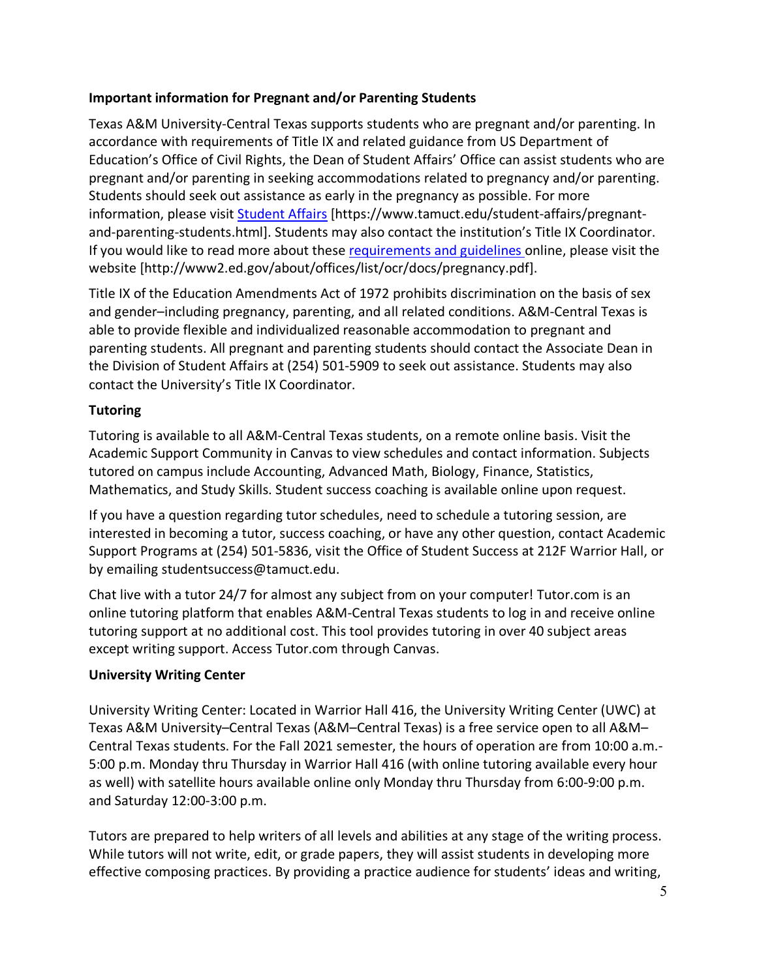# **Important information for Pregnant and/or Parenting Students**

Texas A&M University-Central Texas supports students who are pregnant and/or parenting. In accordance with requirements of Title IX and related guidance from US Department of Education's Office of Civil Rights, the Dean of Student Affairs' Office can assist students who are pregnant and/or parenting in seeking accommodations related to pregnancy and/or parenting. Students should seek out assistance as early in the pregnancy as possible. For more information, please visit Student Affairs [https://www.tamuct.edu/student-affairs/pregnantand-parenting-students.html]. Students may also contact the institution's Title IX Coordinator. If you would like to read more about these requirements and guidelines online, please visit the website [http://www2.ed.gov/about/offices/list/ocr/docs/pregnancy.pdf].

Title IX of the Education Amendments Act of 1972 prohibits discrimination on the basis of sex and gender–including pregnancy, parenting, and all related conditions. A&M-Central Texas is able to provide flexible and individualized reasonable accommodation to pregnant and parenting students. All pregnant and parenting students should contact the Associate Dean in the Division of Student Affairs at (254) 501-5909 to seek out assistance. Students may also contact the University's Title IX Coordinator.

# **Tutoring**

Tutoring is available to all A&M-Central Texas students, on a remote online basis. Visit the Academic Support Community in Canvas to view schedules and contact information. Subjects tutored on campus include Accounting, Advanced Math, Biology, Finance, Statistics, Mathematics, and Study Skills. Student success coaching is available online upon request.

If you have a question regarding tutor schedules, need to schedule a tutoring session, are interested in becoming a tutor, success coaching, or have any other question, contact Academic Support Programs at (254) 501-5836, visit the Office of Student Success at 212F Warrior Hall, or by emailing studentsuccess@tamuct.edu.

Chat live with a tutor 24/7 for almost any subject from on your computer! Tutor.com is an online tutoring platform that enables A&M-Central Texas students to log in and receive online tutoring support at no additional cost. This tool provides tutoring in over 40 subject areas except writing support. Access Tutor.com through Canvas.

# **University Writing Center**

University Writing Center: Located in Warrior Hall 416, the University Writing Center (UWC) at Texas A&M University–Central Texas (A&M–Central Texas) is a free service open to all A&M– Central Texas students. For the Fall 2021 semester, the hours of operation are from 10:00 a.m.- 5:00 p.m. Monday thru Thursday in Warrior Hall 416 (with online tutoring available every hour as well) with satellite hours available online only Monday thru Thursday from 6:00-9:00 p.m. and Saturday 12:00-3:00 p.m.

Tutors are prepared to help writers of all levels and abilities at any stage of the writing process. While tutors will not write, edit, or grade papers, they will assist students in developing more effective composing practices. By providing a practice audience for students' ideas and writing,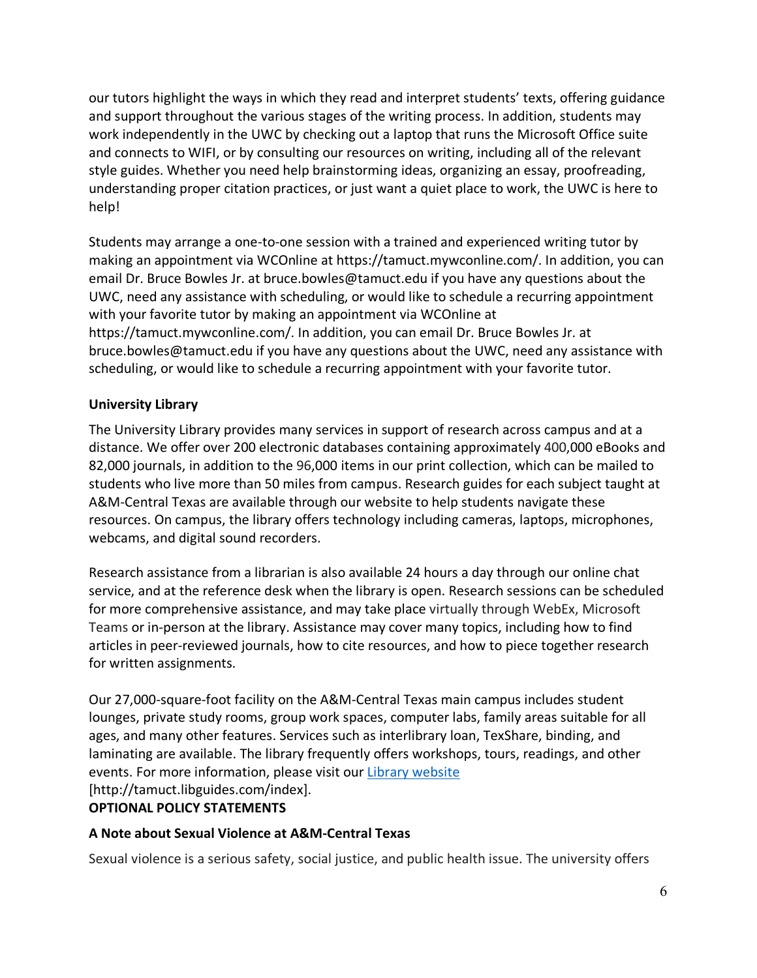our tutors highlight the ways in which they read and interpret students' texts, offering guidance and support throughout the various stages of the writing process. In addition, students may work independently in the UWC by checking out a laptop that runs the Microsoft Office suite and connects to WIFI, or by consulting our resources on writing, including all of the relevant style guides. Whether you need help brainstorming ideas, organizing an essay, proofreading, understanding proper citation practices, or just want a quiet place to work, the UWC is here to help!

Students may arrange a one-to-one session with a trained and experienced writing tutor by making an appointment via WCOnline at https://tamuct.mywconline.com/. In addition, you can email Dr. Bruce Bowles Jr. at bruce.bowles@tamuct.edu if you have any questions about the UWC, need any assistance with scheduling, or would like to schedule a recurring appointment with your favorite tutor by making an appointment via WCOnline at https://tamuct.mywconline.com/. In addition, you can email Dr. Bruce Bowles Jr. at bruce.bowles@tamuct.edu if you have any questions about the UWC, need any assistance with scheduling, or would like to schedule a recurring appointment with your favorite tutor.

# **University Library**

The University Library provides many services in support of research across campus and at a distance. We offer over 200 electronic databases containing approximately 400,000 eBooks and 82,000 journals, in addition to the 96,000 items in our print collection, which can be mailed to students who live more than 50 miles from campus. Research guides for each subject taught at A&M-Central Texas are available through our website to help students navigate these resources. On campus, the library offers technology including cameras, laptops, microphones, webcams, and digital sound recorders.

Research assistance from a librarian is also available 24 hours a day through our online chat service, and at the reference desk when the library is open. Research sessions can be scheduled for more comprehensive assistance, and may take place virtually through WebEx, Microsoft Teams or in-person at the library. Assistance may cover many topics, including how to find articles in peer-reviewed journals, how to cite resources, and how to piece together research for written assignments.

Our 27,000-square-foot facility on the A&M-Central Texas main campus includes student lounges, private study rooms, group work spaces, computer labs, family areas suitable for all ages, and many other features. Services such as interlibrary loan, TexShare, binding, and laminating are available. The library frequently offers workshops, tours, readings, and other events. For more information, please visit our Library website [http://tamuct.libguides.com/index].

# **OPTIONAL POLICY STATEMENTS**

# **A Note about Sexual Violence at A&M-Central Texas**

Sexual violence is a serious safety, social justice, and public health issue. The university offers